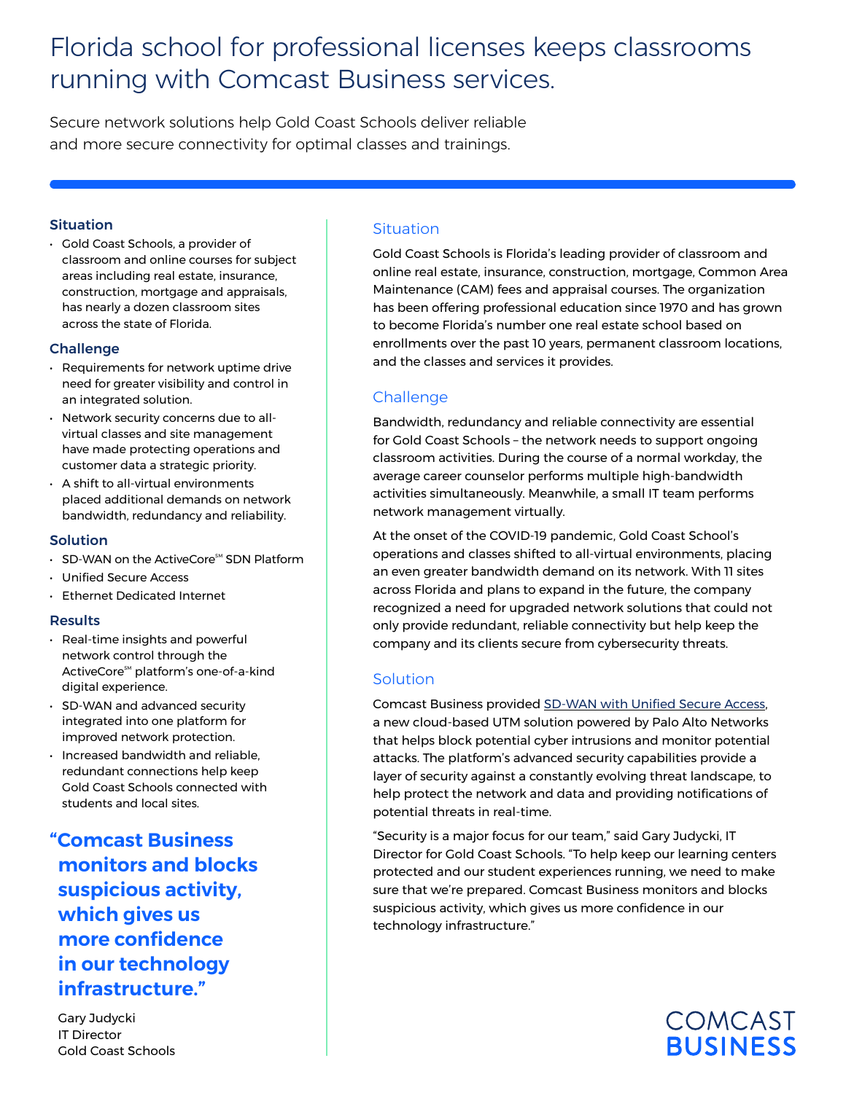# Florida school for professional licenses keeps classrooms running with Comcast Business services.

Secure network solutions help Gold Coast Schools deliver reliable and more secure connectivity for optimal classes and trainings.

### **Situation**

• Gold Coast Schools, a provider of classroom and online courses for subject areas including real estate, insurance, construction, mortgage and appraisals, has nearly a dozen classroom sites across the state of Florida.

## Challenge

- Requirements for network uptime drive need for greater visibility and control in an integrated solution.
- Network security concerns due to allvirtual classes and site management have made protecting operations and customer data a strategic priority.
- A shift to all-virtual environments placed additional demands on network bandwidth, redundancy and reliability.

## Solution

- $\cdot$  SD-WAN on the ActiveCore<sup>SM</sup> SDN Platform
- Unified Secure Access
- Ethernet Dedicated Internet

#### **Results**

- Real-time insights and powerful network control through the ActiveCore<sup>sM</sup> platform's one-of-a-kind digital experience.
- SD-WAN and advanced security integrated into one platform for improved network protection.
- Increased bandwidth and reliable, redundant connections help keep Gold Coast Schools connected with students and local sites.

**"Comcast Business monitors and blocks suspicious activity, which gives us more confidence in our technology infrastructure."**

Gary Judycki IT Director Gold Coast Schools

# **Situation**

Gold Coast Schools is Florida's leading provider of classroom and online real estate, insurance, construction, mortgage, Common Area Maintenance (CAM) fees and appraisal courses. The organization has been offering professional education since 1970 and has grown to become Florida's number one real estate school based on enrollments over the past 10 years, permanent classroom locations, and the classes and services it provides.

# **Challenge**

Bandwidth, redundancy and reliable connectivity are essential for Gold Coast Schools – the network needs to support ongoing classroom activities. During the course of a normal workday, the average career counselor performs multiple high-bandwidth activities simultaneously. Meanwhile, a small IT team performs network management virtually.

At the onset of the COVID-19 pandemic, Gold Coast School's operations and classes shifted to all-virtual environments, placing an even greater bandwidth demand on its network. With 11 sites across Florida and plans to expand in the future, the company recognized a need for upgraded network solutions that could not only provide redundant, reliable connectivity but help keep the company and its clients secure from cybersecurity threats.

# **Solution**

Comcast Business provided [SD-WAN with Unified Secure Access](https://business.comcast.com/enterprise/products-services/activecore-software-defined-networking/sd-wan), a new cloud-based UTM solution powered by Palo Alto Networks that helps block potential cyber intrusions and monitor potential attacks. The platform's advanced security capabilities provide a layer of security against a constantly evolving threat landscape, to help protect the network and data and providing notifications of potential threats in real-time.

"Security is a major focus for our team," said Gary Judycki, IT Director for Gold Coast Schools. "To help keep our learning centers protected and our student experiences running, we need to make sure that we're prepared. Comcast Business monitors and blocks suspicious activity, which gives us more confidence in our technology infrastructure."